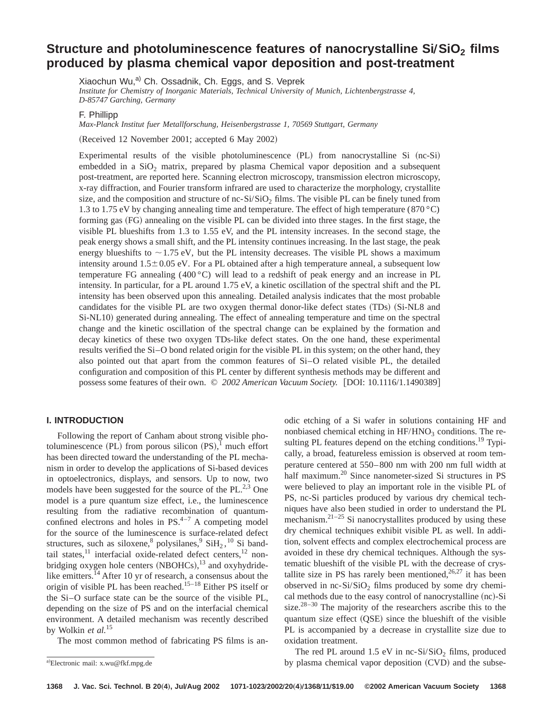# **Structure and photoluminescence features of nanocrystalline Si/SiO<sub>2</sub> films produced by plasma chemical vapor deposition and post-treatment**

Xiaochun Wu,<sup>a)</sup> Ch. Ossadnik, Ch. Eggs, and S. Veprek *Institute for Chemistry of Inorganic Materials, Technical University of Munich, Lichtenbergstrasse 4, D-85747 Garching, Germany*

F. Phillipp

*Max-Planck Institut fuer Metallforschung, Heisenbergstrasse 1, 70569 Stuttgart, Germany*

(Received 12 November 2001; accepted 6 May 2002)

Experimental results of the visible photoluminescence  $(PL)$  from nanocrystalline Si  $(nc-Si)$ embedded in a  $SiO<sub>2</sub>$  matrix, prepared by plasma Chemical vapor deposition and a subsequent post-treatment, are reported here. Scanning electron microscopy, transmission electron microscopy, x-ray diffraction, and Fourier transform infrared are used to characterize the morphology, crystallite size, and the composition and structure of nc- $Si/SiO<sub>2</sub>$  films. The visible PL can be finely tuned from 1.3 to 1.75 eV by changing annealing time and temperature. The effect of high temperature (870 °C) forming gas (FG) annealing on the visible PL can be divided into three stages. In the first stage, the visible PL blueshifts from 1.3 to 1.55 eV, and the PL intensity increases. In the second stage, the peak energy shows a small shift, and the PL intensity continues increasing. In the last stage, the peak energy blueshifts to  $\sim$  1.75 eV, but the PL intensity decreases. The visible PL shows a maximum intensity around  $1.5\pm0.05$  eV. For a PL obtained after a high temperature anneal, a subsequent low temperature FG annealing (400 °C) will lead to a redshift of peak energy and an increase in PL intensity. In particular, for a PL around 1.75 eV, a kinetic oscillation of the spectral shift and the PL intensity has been observed upon this annealing. Detailed analysis indicates that the most probable candidates for the visible PL are two oxygen thermal donor-like defect states  $(TDS)$   $(Si-NLS)$  and Si-NL10) generated during annealing. The effect of annealing temperature and time on the spectral change and the kinetic oscillation of the spectral change can be explained by the formation and decay kinetics of these two oxygen TDs-like defect states. On the one hand, these experimental results verified the Si–O bond related origin for the visible PL in this system; on the other hand, they also pointed out that apart from the common features of Si–O related visible PL, the detailed configuration and composition of this PL center by different synthesis methods may be different and possess some features of their own. © 2002 American Vacuum Society. [DOI: 10.1116/1.1490389]

# **I. INTRODUCTION**

Following the report of Canham about strong visible photoluminescence (PL) from porous silicon  $(PS)$ ,<sup>1</sup> much effort has been directed toward the understanding of the PL mechanism in order to develop the applications of Si-based devices in optoelectronics, displays, and sensors. Up to now, two models have been suggested for the source of the  $PL^{2,3}$  One model is a pure quantum size effect, i.e., the luminescence resulting from the radiative recombination of quantumconfined electrons and holes in  $PS<sup>4-7</sup>$  A competing model for the source of the luminescence is surface-related defect structures, such as siloxene,  $8$  polysilanes,  $9$  SiH<sub>2</sub>,  $^{10}$  Si bandtail states, $11$  interfacial oxide-related defect centers, $12$  nonbridging oxygen hole centers  $(NBOHCs),^{13}$  and oxyhydridelike emitters.<sup>14</sup> After 10 yr of research, a consensus about the origin of visible PL has been reached.15–18 Either PS itself or the Si–O surface state can be the source of the visible PL, depending on the size of PS and on the interfacial chemical environment. A detailed mechanism was recently described by Wolkin *et al.*<sup>15</sup>

The most common method of fabricating PS films is an-

odic etching of a Si wafer in solutions containing HF and nonbiased chemical etching in  $HF/HNO<sub>3</sub>$  conditions. The resulting PL features depend on the etching conditions.<sup>19</sup> Typically, a broad, featureless emission is observed at room temperature centered at 550–800 nm with 200 nm full width at half maximum.<sup>20</sup> Since nanometer-sized Si structures in PS were believed to play an important role in the visible PL of PS, nc-Si particles produced by various dry chemical techniques have also been studied in order to understand the PL mechanism. $2^{1-25}$  Si nanocrystallites produced by using these dry chemical techniques exhibit visible PL as well. In addition, solvent effects and complex electrochemical process are avoided in these dry chemical techniques. Although the systematic blueshift of the visible PL with the decrease of crystallite size in PS has rarely been mentioned,  $26,27$  it has been observed in nc-Si/SiO<sub>2</sub> films produced by some dry chemical methods due to the easy control of nanocrystalline (nc)-Si size. $28-30$  The majority of the researchers ascribe this to the quantum size effect (QSE) since the blueshift of the visible PL is accompanied by a decrease in crystallite size due to oxidation treatment.

The red PL around  $1.5$  eV in nc-Si/SiO<sub>2</sub> films, produced by plasma chemical vapor deposition  $(CVD)$  and the subse-

a)Electronic mail: x.wu@fkf.mpg.de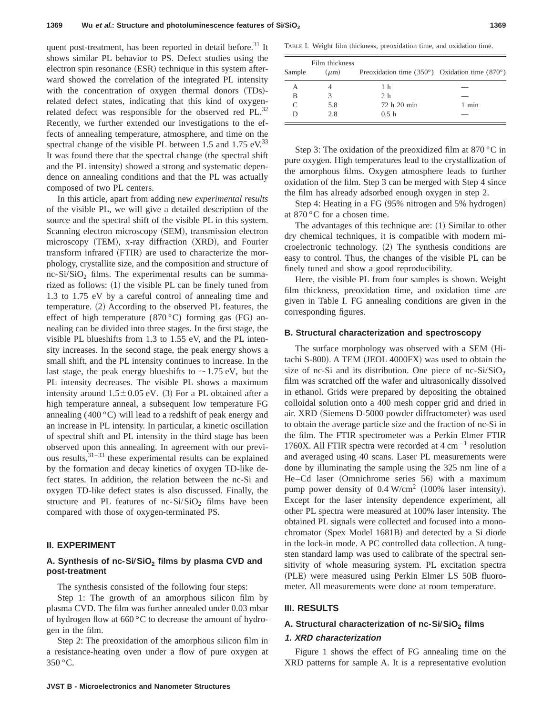quent post-treatment, has been reported in detail before.<sup>31</sup> It shows similar PL behavior to PS. Defect studies using the  $e$ lectron spin resonance  $(ESR)$  technique in this system afterward showed the correlation of the integrated PL intensity with the concentration of oxygen thermal donors (TDs)related defect states, indicating that this kind of oxygenrelated defect was responsible for the observed red PL.<sup>32</sup> Recently, we further extended our investigations to the effects of annealing temperature, atmosphere, and time on the spectral change of the visible PL between 1.5 and 1.75  $eV$ .<sup>33</sup> It was found there that the spectral change (the spectral shift and the PL intensity) showed a strong and systematic dependence on annealing conditions and that the PL was actually composed of two PL centers.

In this article, apart from adding new *experimental results* of the visible PL, we will give a detailed description of the source and the spectral shift of the visible PL in this system. Scanning electron microscopy (SEM), transmission electron  $microscopy$  (TEM), x-ray diffraction  $(XRD)$ , and Fourier transform infrared (FTIR) are used to characterize the morphology, crystallite size, and the composition and structure of nc-Si/SiO<sub>2</sub> films. The experimental results can be summarized as follows:  $(1)$  the visible PL can be finely tuned from 1.3 to 1.75 eV by a careful control of annealing time and temperature.  $(2)$  According to the observed PL features, the effect of high temperature (870 °C) forming gas (FG) annealing can be divided into three stages. In the first stage, the visible PL blueshifts from 1.3 to 1.55 eV, and the PL intensity increases. In the second stage, the peak energy shows a small shift, and the PL intensity continues to increase. In the last stage, the peak energy blueshifts to  $\sim$  1.75 eV, but the PL intensity decreases. The visible PL shows a maximum intensity around  $1.5 \pm 0.05$  eV. (3) For a PL obtained after a high temperature anneal, a subsequent low temperature FG annealing  $(400 \degree C)$  will lead to a redshift of peak energy and an increase in PL intensity. In particular, a kinetic oscillation of spectral shift and PL intensity in the third stage has been observed upon this annealing. In agreement with our previous results, $31-33$  these experimental results can be explained by the formation and decay kinetics of oxygen TD-like defect states. In addition, the relation between the nc-Si and oxygen TD-like defect states is also discussed. Finally, the structure and PL features of nc- $Si/SiO<sub>2</sub>$  films have been compared with those of oxygen-terminated PS.

# **II. EXPERIMENT**

# A. Synthesis of nc-Si/SiO<sub>2</sub> films by plasma CVD and **post-treatment**

The synthesis consisted of the following four steps:

Step 1: The growth of an amorphous silicon film by plasma CVD. The film was further annealed under 0.03 mbar of hydrogen flow at 660 °C to decrease the amount of hydrogen in the film.

Step 2: The preoxidation of the amorphous silicon film in a resistance-heating oven under a flow of pure oxygen at  $350^{\circ}$ C.

TABLE I. Weight film thickness, preoxidation time, and oxidation time.

| Sample | Film thickness<br>$(\mu m)$ | Preoxidation time $(350^{\circ})$ Oxidation time $(870^{\circ})$ |         |
|--------|-----------------------------|------------------------------------------------------------------|---------|
| А      |                             | 1 h                                                              |         |
| B      |                             | 2 <sub>h</sub>                                                   |         |
|        | 5.8                         | 72 h 20 min                                                      | $1$ min |
|        | 2.8                         | 0.5 h                                                            |         |

Step 3: The oxidation of the preoxidized film at  $870^{\circ}$ C in pure oxygen. High temperatures lead to the crystallization of the amorphous films. Oxygen atmosphere leads to further oxidation of the film. Step 3 can be merged with Step 4 since the film has already adsorbed enough oxygen in step 2.

Step 4: Heating in a FG (95% nitrogen and 5% hydrogen) at 870 °C for a chosen time.

The advantages of this technique are:  $(1)$  Similar to other dry chemical techniques, it is compatible with modern microelectronic technology.  $(2)$  The synthesis conditions are easy to control. Thus, the changes of the visible PL can be finely tuned and show a good reproducibility.

Here, the visible PL from four samples is shown. Weight film thickness, preoxidation time, and oxidation time are given in Table I. FG annealing conditions are given in the corresponding figures.

#### **B. Structural characterization and spectroscopy**

The surface morphology was observed with a SEM (Hitachi  $S-800$ ). A TEM (JEOL 4000FX) was used to obtain the size of nc-Si and its distribution. One piece of nc-Si/SiO<sub>2</sub> film was scratched off the wafer and ultrasonically dissolved in ethanol. Grids were prepared by depositing the obtained colloidal solution onto a 400 mesh copper grid and dried in air. XRD (Siemens D-5000 powder diffractometer) was used to obtain the average particle size and the fraction of nc-Si in the film. The FTIR spectrometer was a Perkin Elmer FTIR 1760X. All FTIR spectra were recorded at  $4 \text{ cm}^{-1}$  resolution and averaged using 40 scans. Laser PL measurements were done by illuminating the sample using the 325 nm line of a He–Cd laser (Omnichrome series 56) with a maximum pump power density of  $0.4$  W/cm<sup>2</sup> (100% laser intensity). Except for the laser intensity dependence experiment, all other PL spectra were measured at 100% laser intensity. The obtained PL signals were collected and focused into a monochromator (Spex Model 1681B) and detected by a Si diode in the lock-in mode. A PC controlled data collection. A tungsten standard lamp was used to calibrate of the spectral sensitivity of whole measuring system. PL excitation spectra (PLE) were measured using Perkin Elmer LS 50B fluorometer. All measurements were done at room temperature.

### **III. RESULTS**

# A. Structural characterization of nc-Si/SiO<sub>2</sub> films

#### **1. XRD characterization**

Figure 1 shows the effect of FG annealing time on the XRD patterns for sample A. It is a representative evolution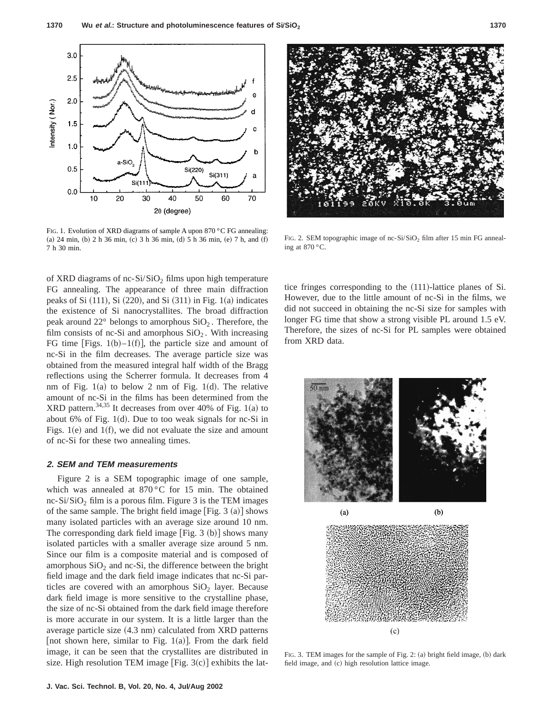

FIG. 1. Evolution of XRD diagrams of sample A upon 870 °C FG annealing:  $(a)$  24 min,  $(b)$  2 h 36 min,  $(c)$  3 h 36 min,  $(d)$  5 h 36 min,  $(e)$  7 h, and  $(f)$ 7 h 30 min.

of XRD diagrams of nc-Si/SiO<sub>2</sub> films upon high temperature FG annealing. The appearance of three main diffraction peaks of Si  $(111)$ , Si  $(220)$ , and Si  $(311)$  in Fig. 1 $(a)$  indicates the existence of Si nanocrystallites. The broad diffraction peak around  $22^{\circ}$  belongs to amorphous  $SiO<sub>2</sub>$ . Therefore, the film consists of nc-Si and amorphous  $SiO<sub>2</sub>$ . With increasing FG time [Figs.  $1(b) - 1(f)$ ], the particle size and amount of nc-Si in the film decreases. The average particle size was obtained from the measured integral half width of the Bragg reflections using the Scherrer formula. It decreases from 4 nm of Fig.  $1(a)$  to below 2 nm of Fig.  $1(d)$ . The relative amount of nc-Si in the films has been determined from the XRD pattern.<sup>34,35</sup> It decreases from over 40% of Fig. 1(a) to about 6% of Fig. 1 $(d)$ . Due to too weak signals for nc-Si in Figs. 1 $(e)$  and 1 $(f)$ , we did not evaluate the size and amount of nc-Si for these two annealing times.

#### **2. SEM and TEM measurements**

Figure 2 is a SEM topographic image of one sample, which was annealed at 870 °C for 15 min. The obtained nc-Si/SiO<sub>2</sub> film is a porous film. Figure 3 is the TEM images of the same sample. The bright field image  $[Fig. 3 (a)]$  shows many isolated particles with an average size around 10 nm. The corresponding dark field image  $[Fig. 3 (b)]$  shows many isolated particles with a smaller average size around 5 nm. Since our film is a composite material and is composed of amorphous  $SiO<sub>2</sub>$  and nc-Si, the difference between the bright field image and the dark field image indicates that nc-Si particles are covered with an amorphous  $SiO<sub>2</sub>$  layer. Because dark field image is more sensitive to the crystalline phase, the size of nc-Si obtained from the dark field image therefore is more accurate in our system. It is a little larger than the average particle size  $(4.3 \text{ nm})$  calculated from XRD patterns [not shown here, similar to Fig. 1(a)]. From the dark field image, it can be seen that the crystallites are distributed in size. High resolution TEM image [Fig.  $3(c)$ ] exhibits the lat-



FIG. 2. SEM topographic image of nc-Si/SiO<sub>2</sub> film after 15 min FG annealing at 870 °C.

tice fringes corresponding to the  $(111)$ -lattice planes of Si. However, due to the little amount of nc-Si in the films, we did not succeed in obtaining the nc-Si size for samples with longer FG time that show a strong visible PL around 1.5 eV. Therefore, the sizes of nc-Si for PL samples were obtained from XRD data.



FIG. 3. TEM images for the sample of Fig. 2: (a) bright field image, (b) dark field image, and (c) high resolution lattice image.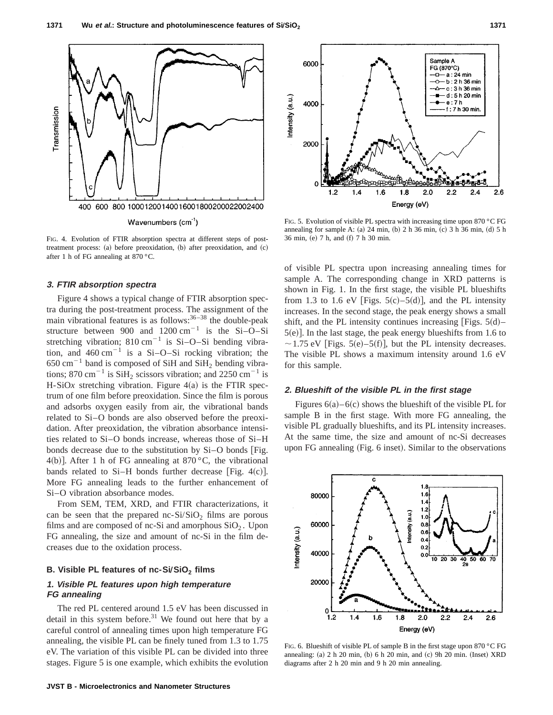

FIG. 4. Evolution of FTIR absorption spectra at different steps of posttreatment process: (a) before preoxidation, (b) after preoxidation, and (c) after 1 h of FG annealing at 870 °C.

#### **3. FTIR absorption spectra**

Figure 4 shows a typical change of FTIR absorption spectra during the post-treatment process. The assignment of the main vibrational features is as follows: $36-38$  the double-peak structure between 900 and  $1200 \text{ cm}^{-1}$  is the Si-O–Si stretching vibration;  $810 \text{ cm}^{-1}$  is Si-O-Si bending vibration, and  $460 \text{ cm}^{-1}$  is a Si–O–Si rocking vibration; the  $650 \text{ cm}^{-1}$  band is composed of SiH and SiH<sub>2</sub> bending vibrations; 870 cm<sup>-1</sup> is SiH<sub>2</sub> scissors vibration; and 2250 cm<sup>-1</sup> is H-SiO<sub>x</sub> stretching vibration. Figure  $4(a)$  is the FTIR spectrum of one film before preoxidation. Since the film is porous and adsorbs oxygen easily from air, the vibrational bands related to Si–O bonds are also observed before the preoxidation. After preoxidation, the vibration absorbance intensities related to Si–O bonds increase, whereas those of Si–H bonds decrease due to the substitution by  $Si-O$  bonds [Fig. 4(b)]. After 1 h of FG annealing at  $870^{\circ}$ C, the vibrational bands related to Si-H bonds further decrease [Fig.  $4(c)$ ]. More FG annealing leads to the further enhancement of Si–O vibration absorbance modes.

From SEM, TEM, XRD, and FTIR characterizations, it can be seen that the prepared nc- $Si/SiO<sub>2</sub>$  films are porous films and are composed of nc-Si and amorphous  $SiO<sub>2</sub>$ . Upon FG annealing, the size and amount of nc-Si in the film decreases due to the oxidation process.

# **B. Visible PL features of nc-Si/SiO<sub>2</sub> films**

# **1. Visible PL features upon high temperature FG annealing**

The red PL centered around 1.5 eV has been discussed in detail in this system before. $31$  We found out here that by a careful control of annealing times upon high temperature FG annealing, the visible PL can be finely tuned from 1.3 to 1.75 eV. The variation of this visible PL can be divided into three stages. Figure 5 is one example, which exhibits the evolution



FIG. 5. Evolution of visible PL spectra with increasing time upon 870 °C FG annealing for sample A: (a)  $24$  min, (b)  $2 h 36$  min, (c)  $3 h 36$  min, (d)  $5 h 36$ 36 min, (e) 7 h, and (f) 7 h 30 min.

of visible PL spectra upon increasing annealing times for sample A. The corresponding change in XRD patterns is shown in Fig. 1. In the first stage, the visible PL blueshifts from 1.3 to 1.6 eV [Figs.  $5(c)$ – $5(d)$ ], and the PL intensity increases. In the second stage, the peak energy shows a small shift, and the PL intensity continues increasing [Figs.  $5(d)$ –  $5(e)$ ]. In the last stage, the peak energy blueshifts from 1.6 to  $\sim$  1.75 eV [Figs. 5(e)–5(f)], but the PL intensity decreases. The visible PL shows a maximum intensity around 1.6 eV for this sample.

### **2. Blueshift of the visible PL in the first stage**

Figures  $6(a)$ –6(c) shows the blueshift of the visible PL for sample B in the first stage. With more FG annealing, the visible PL gradually blueshifts, and its PL intensity increases. At the same time, the size and amount of nc-Si decreases upon FG annealing (Fig. 6 inset). Similar to the observations



FIG. 6. Blueshift of visible PL of sample B in the first stage upon 870 °C FG annealing:  $(a)$  2 h 20 min,  $(b)$  6 h 20 min, and  $(c)$  9h 20 min.  $(Insert)$  XRD diagrams after 2 h 20 min and 9 h 20 min annealing.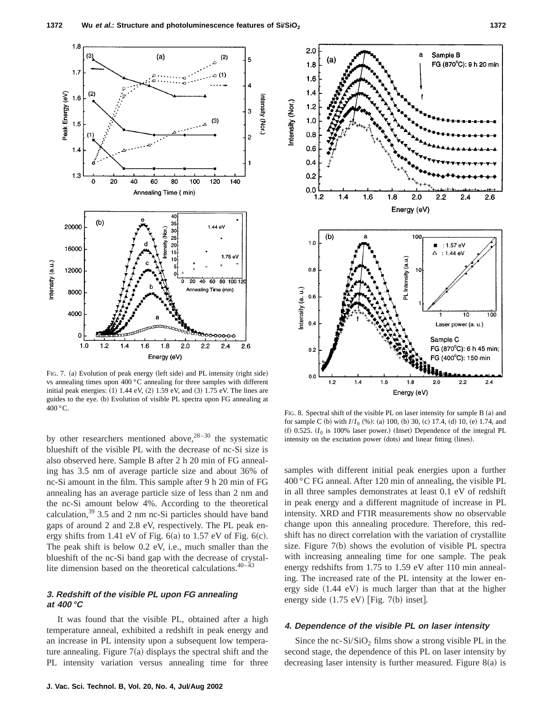

FIG. 7. (a) Evolution of peak energy (left side) and PL intensity (right side) vs annealing times upon 400 °C annealing for three samples with different initial peak energies:  $(1)$  1.44 eV,  $(2)$  1.59 eV, and  $(3)$  1.75 eV. The lines are guides to the eye. (b) Evolution of visible PL spectra upon FG annealing at 400 °C. FIG. 8. Spectral shift of the visible PL on laser intensity for sample B (a) and

by other researchers mentioned above,  $28-30$  the systematic blueshift of the visible PL with the decrease of nc-Si size is also observed here. Sample B after 2 h 20 min of FG annealing has 3.5 nm of average particle size and about 36% of nc-Si amount in the film. This sample after 9 h 20 min of FG annealing has an average particle size of less than 2 nm and the nc-Si amount below 4%. According to the theoretical calculation,  $39\,3.5$  and 2 nm nc-Si particles should have band gaps of around 2 and 2.8 eV, respectively. The PL peak energy shifts from 1.41 eV of Fig.  $6(a)$  to 1.57 eV of Fig.  $6(c)$ . The peak shift is below 0.2 eV, i.e., much smaller than the blueshift of the nc-Si band gap with the decrease of crystallite dimension based on the theoretical calculations.<sup>40-43</sup>

# **3. Redshift of the visible PL upon FG annealing at 400 °C**

It was found that the visible PL, obtained after a high temperature anneal, exhibited a redshift in peak energy and an increase in PL intensity upon a subsequent low temperature annealing. Figure  $7(a)$  displays the spectral shift and the PL intensity variation versus annealing time for three



for sample C (b) with  $I/I_0$  (%): (a) 100, (b) 30, (c) 17.4, (d) 10, (e) 1.74, and  $f()$  0.525.  $(I_0$  is 100% laser power.) (Inset) Dependence of the integral PL intensity on the excitation power (dots) and linear fitting (lines).

samples with different initial peak energies upon a further 400 °C FG anneal. After 120 min of annealing, the visible PL in all three samples demonstrates at least 0.1 eV of redshift in peak energy and a different magnitude of increase in PL intensity. XRD and FTIR measurements show no observable change upon this annealing procedure. Therefore, this redshift has no direct correlation with the variation of crystallite size. Figure  $7(b)$  shows the evolution of visible PL spectra with increasing annealing time for one sample. The peak energy redshifts from 1.75 to 1.59 eV after 110 min annealing. The increased rate of the PL intensity at the lower energy side  $(1.44 \text{ eV})$  is much larger than that at the higher energy side  $(1.75 \text{ eV})$  [Fig. 7(b) inset].

### **4. Dependence of the visible PL on laser intensity**

Since the nc-Si/SiO<sub>2</sub> films show a strong visible PL in the second stage, the dependence of this PL on laser intensity by decreasing laser intensity is further measured. Figure  $8(a)$  is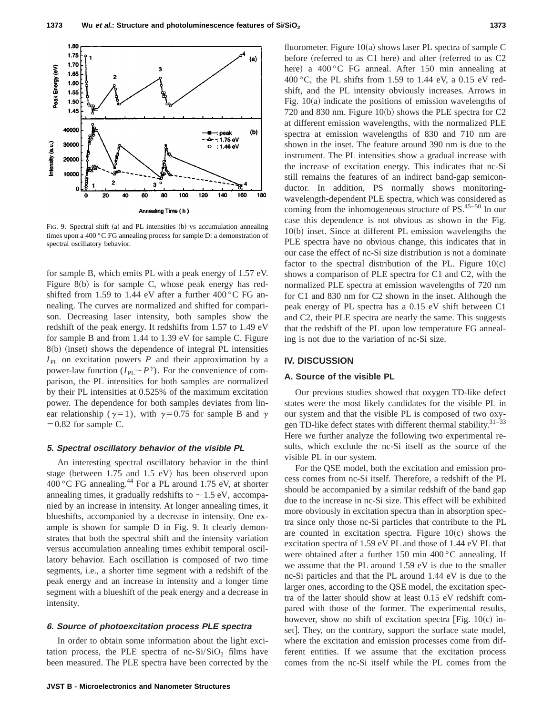

FIG. 9. Spectral shift  $(a)$  and PL intensities  $(b)$  vs accumulation annealing times upon a 400 °C FG annealing process for sample D: a demonstration of spectral oscillatory behavior.

for sample B, which emits PL with a peak energy of 1.57 eV. Figure  $8(b)$  is for sample C, whose peak energy has redshifted from 1.59 to 1.44 eV after a further  $400\degree$ C FG annealing. The curves are normalized and shifted for comparison. Decreasing laser intensity, both samples show the redshift of the peak energy. It redshifts from 1.57 to 1.49 eV for sample B and from 1.44 to 1.39 eV for sample C. Figure  $8(b)$  (inset) shows the dependence of integral PL intensities  $I_{\text{PL}}$  on excitation powers *P* and their approximation by a power-law function  $(I_{\text{PL}} \sim P^{\gamma})$ . For the convenience of comparison, the PL intensities for both samples are normalized by their PL intensities at 0.525% of the maximum excitation power. The dependence for both samples deviates from linear relationship ( $\gamma=1$ ), with  $\gamma=0.75$  for sample B and  $\gamma$  $=0.82$  for sample C.

### **5. Spectral oscillatory behavior of the visible PL**

An interesting spectral oscillatory behavior in the third stage (between  $1.75$  and  $1.5$  eV) has been observed upon 400 °C FG annealing.<sup>44</sup> For a PL around 1.75 eV, at shorter annealing times, it gradually redshifts to  $\sim$  1.5 eV, accompanied by an increase in intensity. At longer annealing times, it blueshifts, accompanied by a decrease in intensity. One example is shown for sample D in Fig. 9. It clearly demonstrates that both the spectral shift and the intensity variation versus accumulation annealing times exhibit temporal oscillatory behavior. Each oscillation is composed of two time segments, i.e., a shorter time segment with a redshift of the peak energy and an increase in intensity and a longer time segment with a blueshift of the peak energy and a decrease in intensity.

# **6. Source of photoexcitation process PLE spectra**

In order to obtain some information about the light excitation process, the PLE spectra of nc- $Si/SiO<sub>2</sub>$  films have been measured. The PLE spectra have been corrected by the fluorometer. Figure  $10(a)$  shows laser PL spectra of sample C before (referred to as  $C1$  here) and after (referred to as  $C2$ here) a  $400^{\circ}$ C FG anneal. After 150 min annealing at 400 $^{\circ}$ C, the PL shifts from 1.59 to 1.44 eV, a 0.15 eV redshift, and the PL intensity obviously increases. Arrows in Fig.  $10(a)$  indicate the positions of emission wavelengths of 720 and 830 nm. Figure 10 $(b)$  shows the PLE spectra for C2 at different emission wavelengths, with the normalized PLE spectra at emission wavelengths of 830 and 710 nm are shown in the inset. The feature around 390 nm is due to the instrument. The PL intensities show a gradual increase with the increase of excitation energy. This indicates that nc-Si still remains the features of an indirect band-gap semiconductor. In addition, PS normally shows monitoringwavelength-dependent PLE spectra, which was considered as coming from the inhomogeneous structure of  $PS$ .<sup>45–50</sup> In our case this dependence is not obvious as shown in the Fig.  $10(b)$  inset. Since at different PL emission wavelengths the PLE spectra have no obvious change, this indicates that in our case the effect of nc-Si size distribution is not a dominate factor to the spectral distribution of the PL. Figure  $10(c)$ shows a comparison of PLE spectra for C1 and C2, with the normalized PLE spectra at emission wavelengths of 720 nm for C1 and 830 nm for C2 shown in the inset. Although the peak energy of PL spectra has a 0.15 eV shift between C1 and C2, their PLE spectra are nearly the same. This suggests that the redshift of the PL upon low temperature FG annealing is not due to the variation of nc-Si size.

### **IV. DISCUSSION**

## **A. Source of the visible PL**

Our previous studies showed that oxygen TD-like defect states were the most likely candidates for the visible PL in our system and that the visible PL is composed of two oxygen TD-like defect states with different thermal stability.<sup>31-33</sup> Here we further analyze the following two experimental results, which exclude the nc-Si itself as the source of the visible PL in our system.

For the QSE model, both the excitation and emission process comes from nc-Si itself. Therefore, a redshift of the PL should be accompanied by a similar redshift of the band gap due to the increase in nc-Si size. This effect will be exhibited more obviously in excitation spectra than in absorption spectra since only those nc-Si particles that contribute to the PL are counted in excitation spectra. Figure  $10(c)$  shows the excitation spectra of 1.59 eV PL and those of 1.44 eV PL that were obtained after a further 150 min 400 °C annealing. If we assume that the PL around 1.59 eV is due to the smaller nc-Si particles and that the PL around 1.44 eV is due to the larger ones, according to the QSE model, the excitation spectra of the latter should show at least 0.15 eV redshift compared with those of the former. The experimental results, however, show no shift of excitation spectra [Fig.  $10(c)$  inset]. They, on the contrary, support the surface state model, where the excitation and emission processes come from different entities. If we assume that the excitation process comes from the nc-Si itself while the PL comes from the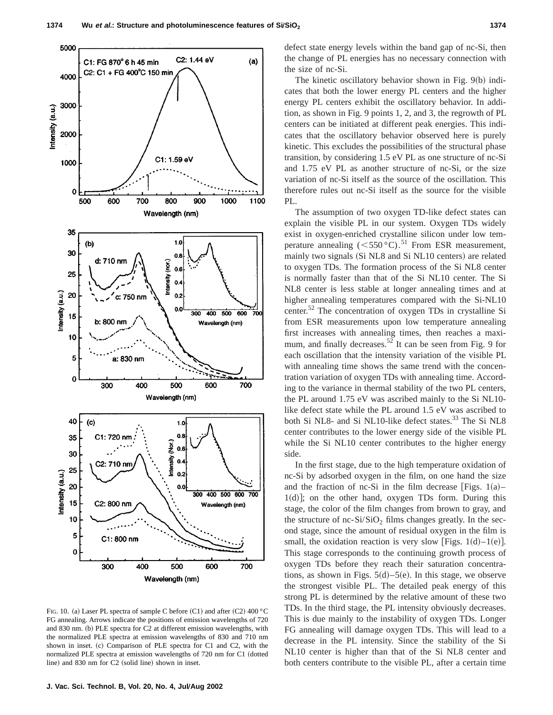

FIG. 10. (a) Laser PL spectra of sample C before  $(C1)$  and after  $(C2)$  400 °C FG annealing. Arrows indicate the positions of emission wavelengths of 720 and 830 nm. (b) PLE spectra for C2 at different emission wavelengths, with the normalized PLE spectra at emission wavelengths of 830 and 710 nm shown in inset. (c) Comparison of PLE spectra for C1 and C2, with the normalized PLE spectra at emission wavelengths of 720 nm for C1 (dotted line) and  $830$  nm for C2 (solid line) shown in inset.

defect state energy levels within the band gap of nc-Si, then the change of PL energies has no necessary connection with the size of nc-Si.

The kinetic oscillatory behavior shown in Fig.  $9(b)$  indicates that both the lower energy PL centers and the higher energy PL centers exhibit the oscillatory behavior. In addition, as shown in Fig. 9 points 1, 2, and 3, the regrowth of PL centers can be initiated at different peak energies. This indicates that the oscillatory behavior observed here is purely kinetic. This excludes the possibilities of the structural phase transition, by considering 1.5 eV PL as one structure of nc-Si and 1.75 eV PL as another structure of nc-Si, or the size variation of nc-Si itself as the source of the oscillation. This therefore rules out nc-Si itself as the source for the visible PL.

The assumption of two oxygen TD-like defect states can explain the visible PL in our system. Oxygen TDs widely exist in oxygen-enriched crystalline silicon under low temperature annealing  $(<550$  °C).<sup>51</sup> From ESR measurement,mainly two signals (Si NL8 and Si NL10 centers) are related to oxygen TDs. The formation process of the Si NL8 center is normally faster than that of the Si NL10 center. The Si NL8 center is less stable at longer annealing times and at higher annealing temperatures compared with the Si-NL10 center.52 The concentration of oxygen TDs in crystalline Si from ESR measurements upon low temperature annealing first increases with annealing times, then reaches a maximum, and finally decreases.<sup>52</sup> It can be seen from Fig. 9 for each oscillation that the intensity variation of the visible PL with annealing time shows the same trend with the concentration variation of oxygen TDs with annealing time. According to the variance in thermal stability of the two PL centers, the PL around 1.75 eV was ascribed mainly to the Si NL10 like defect state while the PL around 1.5 eV was ascribed to both Si NL8- and Si NL10-like defect states.<sup>33</sup> The Si NL8 center contributes to the lower energy side of the visible PL while the Si NL10 center contributes to the higher energy side.

In the first stage, due to the high temperature oxidation of nc-Si by adsorbed oxygen in the film, on one hand the size and the fraction of nc-Si in the film decrease [Figs.  $1(a)$ –  $1(d)$ ; on the other hand, oxygen TDs form. During this stage, the color of the film changes from brown to gray, and the structure of nc-Si/SiO<sub>2</sub> films changes greatly. In the second stage, since the amount of residual oxygen in the film is small, the oxidation reaction is very slow [Figs.  $1(d) - 1(e)$ ]. This stage corresponds to the continuing growth process of oxygen TDs before they reach their saturation concentrations, as shown in Figs.  $5(d) - 5(e)$ . In this stage, we observe the strongest visible PL. The detailed peak energy of this strong PL is determined by the relative amount of these two TDs. In the third stage, the PL intensity obviously decreases. This is due mainly to the instability of oxygen TDs. Longer FG annealing will damage oxygen TDs. This will lead to a decrease in the PL intensity. Since the stability of the Si NL10 center is higher than that of the Si NL8 center and both centers contribute to the visible PL, after a certain time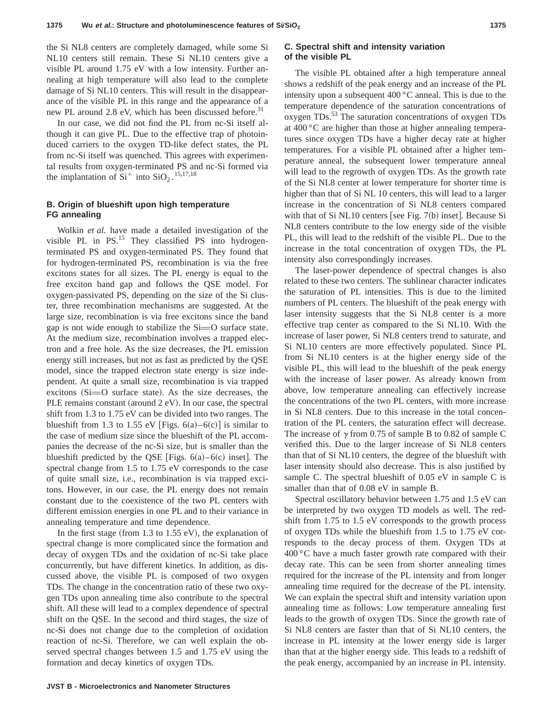the Si NL8 centers are completely damaged, while some Si NL10 centers still remain. These Si NL10 centers give a visible PL around 1.75 eV with a low intensity. Further annealing at high temperature will also lead to the complete damage of Si NL10 centers. This will result in the disappearance of the visible PL in this range and the appearance of a new PL around 2.8 eV, which has been discussed before.<sup>31</sup>

In our case, we did not find the PL from nc-Si itself although it can give PL. Due to the effective trap of photoinduced carriers to the oxygen TD-like defect states, the PL from nc-Si itself was quenched. This agrees with experimental results from oxygen-terminated PS and nc-Si formed via the implantation of  $Si<sup>+</sup>$  into  $SiO<sub>2</sub>$ .<sup>15,17,18</sup>

# **B. Origin of blueshift upon high temperature FG annealing**

Wolkin *et al.* have made a detailed investigation of the visible PL in  $PS$ <sup>15</sup>. They classified PS into hydrogenterminated PS and oxygen-terminated PS. They found that for hydrogen-terminated PS, recombination is via the free excitons states for all sizes. The PL energy is equal to the free exciton band gap and follows the QSE model. For oxygen-passivated PS, depending on the size of the Si cluster, three recombination mechanisms are suggested. At the large size, recombination is via free excitons since the band gap is not wide enough to stabilize the  $Si=O$  surface state. At the medium size, recombination involves a trapped electron and a free hole. As the size decreases, the PL emission energy still increases, but not as fast as predicted by the QSE model, since the trapped electron state energy is size independent. At quite a small size, recombination is via trapped excitons  $(S_i=O$  surface state). As the size decreases, the PLE remains constant (around  $2$  eV). In our case, the spectral shift from 1.3 to 1.75 eV can be divided into two ranges. The blueshift from 1.3 to 1.55 eV [Figs.  $6(a) - 6(c)$ ] is similar to the case of medium size since the blueshift of the PL accompanies the decrease of the nc-Si size, but is smaller than the blueshift predicted by the QSE [Figs.  $6(a) - 6(c)$  inset]. The spectral change from 1.5 to 1.75 eV corresponds to the case of quite small size, i.e., recombination is via trapped excitons. However, in our case, the PL energy does not remain constant due to the coexistence of the two PL centers with different emission energies in one PL and to their variance in annealing temperature and time dependence.

In the first stage (from 1.3 to 1.55 eV), the explanation of spectral change is more complicated since the formation and decay of oxygen TDs and the oxidation of nc-Si take place concurrently, but have different kinetics. In addition, as discussed above, the visible PL is composed of two oxygen TDs. The change in the concentration ratio of these two oxygen TDs upon annealing time also contribute to the spectral shift. All these will lead to a complex dependence of spectral shift on the QSE. In the second and third stages, the size of nc-Si does not change due to the completion of oxidation reaction of nc-Si. Therefore, we can well explain the observed spectral changes between 1.5 and 1.75 eV using the formation and decay kinetics of oxygen TDs.

### **C. Spectral shift and intensity variation of the visible PL**

The visible PL obtained after a high temperature anneal shows a redshift of the peak energy and an increase of the PL intensity upon a subsequent 400 °C anneal. This is due to the temperature dependence of the saturation concentrations of oxygen TDs.<sup>53</sup> The saturation concentrations of oxygen TDs at 400 °C are higher than those at higher annealing temperatures since oxygen TDs have a higher decay rate at higher temperatures. For a visible PL obtained after a higher temperature anneal, the subsequent lower temperature anneal will lead to the regrowth of oxygen TDs. As the growth rate of the Si NL8 center at lower temperature for shorter time is higher than that of Si NL 10 centers, this will lead to a larger increase in the concentration of Si NL8 centers compared with that of Si NL10 centers [see Fig.  $7(b)$  inset]. Because Si NL8 centers contribute to the low energy side of the visible PL, this will lead to the redshift of the visible PL. Due to the increase in the total concentration of oxygen TDs, the PL intensity also correspondingly increases.

The laser-power dependence of spectral changes is also related to these two centers. The sublinear character indicates the saturation of PL intensities. This is due to the limited numbers of PL centers. The blueshift of the peak energy with laser intensity suggests that the Si NL8 center is a more effective trap center as compared to the Si NL10. With the increase of laser power, Si NL8 centers trend to saturate, and Si NL10 centers are more effectively populated. Since PL from Si NL10 centers is at the higher energy side of the visible PL, this will lead to the blueshift of the peak energy with the increase of laser power. As already known from above, low temperature annealing can effectively increase the concentrations of the two PL centers, with more increase in Si NL8 centers. Due to this increase in the total concentration of the PL centers, the saturation effect will decrease. The increase of  $\gamma$  from 0.75 of sample B to 0.82 of sample C verified this. Due to the larger increase of Si NL8 centers than that of Si NL10 centers, the degree of the blueshift with laser intensity should also decrease. This is also justified by sample C. The spectral blueshift of 0.05 eV in sample C is smaller than that of 0.08 eV in sample B.

Spectral oscillatory behavior between 1.75 and 1.5 eV can be interpreted by two oxygen TD models as well. The redshift from 1.75 to 1.5 eV corresponds to the growth process of oxygen TDs while the blueshift from 1.5 to 1.75 eV corresponds to the decay process of them. Oxygen TDs at  $400\degree$ C have a much faster growth rate compared with their decay rate. This can be seen from shorter annealing times required for the increase of the PL intensity and from longer annealing time required for the decrease of the PL intensity. We can explain the spectral shift and intensity variation upon annealing time as follows: Low temperature annealing first leads to the growth of oxygen TDs. Since the growth rate of Si NL8 centers are faster than that of Si NL10 centers, the increase in PL intensity at the lower energy side is larger than that at the higher energy side. This leads to a redshift of the peak energy, accompanied by an increase in PL intensity.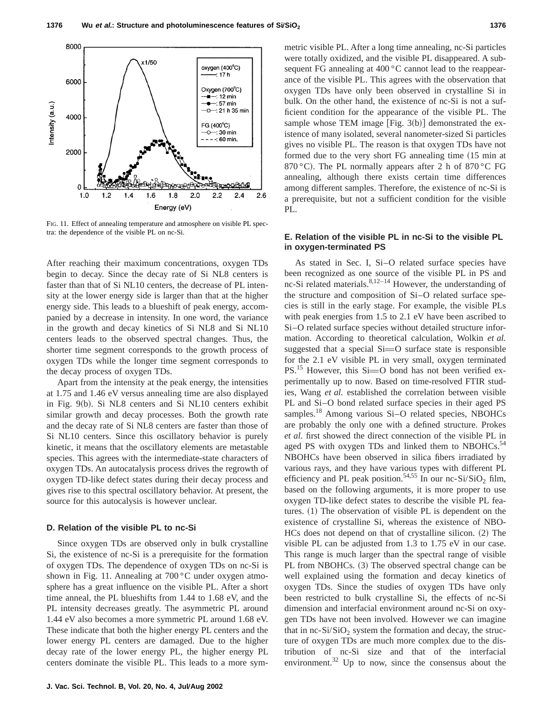

FIG. 11. Effect of annealing temperature and atmosphere on visible PL spectra: the dependence of the visible PL on nc-Si.

After reaching their maximum concentrations, oxygen TDs begin to decay. Since the decay rate of Si NL8 centers is faster than that of Si NL10 centers, the decrease of PL intensity at the lower energy side is larger than that at the higher energy side. This leads to a blueshift of peak energy, accompanied by a decrease in intensity. In one word, the variance in the growth and decay kinetics of Si NL8 and Si NL10 centers leads to the observed spectral changes. Thus, the shorter time segment corresponds to the growth process of oxygen TDs while the longer time segment corresponds to the decay process of oxygen TDs.

Apart from the intensity at the peak energy, the intensities at 1.75 and 1.46 eV versus annealing time are also displayed in Fig.  $9(b)$ . Si NL8 centers and Si NL10 centers exhibit similar growth and decay processes. Both the growth rate and the decay rate of Si NL8 centers are faster than those of Si NL10 centers. Since this oscillatory behavior is purely kinetic, it means that the oscillatory elements are metastable species. This agrees with the intermediate-state characters of oxygen TDs. An autocatalysis process drives the regrowth of oxygen TD-like defect states during their decay process and gives rise to this spectral oscillatory behavior. At present, the source for this autocalysis is however unclear.

#### **D. Relation of the visible PL to nc-Si**

Since oxygen TDs are observed only in bulk crystalline Si, the existence of nc-Si is a prerequisite for the formation of oxygen TDs. The dependence of oxygen TDs on nc-Si is shown in Fig. 11. Annealing at 700 °C under oxygen atmosphere has a great influence on the visible PL. After a short time anneal, the PL blueshifts from 1.44 to 1.68 eV, and the PL intensity decreases greatly. The asymmetric PL around 1.44 eV also becomes a more symmetric PL around 1.68 eV. These indicate that both the higher energy PL centers and the lower energy PL centers are damaged. Due to the higher decay rate of the lower energy PL, the higher energy PL centers dominate the visible PL. This leads to a more symmetric visible PL. After a long time annealing, nc-Si particles were totally oxidized, and the visible PL disappeared. A subsequent FG annealing at 400 °C cannot lead to the reappearance of the visible PL. This agrees with the observation that oxygen TDs have only been observed in crystalline Si in bulk. On the other hand, the existence of nc-Si is not a sufficient condition for the appearance of the visible PL. The sample whose TEM image  $[Fig. 3(b)]$  demonstrated the existence of many isolated, several nanometer-sized Si particles gives no visible PL. The reason is that oxygen TDs have not formed due to the very short FG annealing time (15 min at 870 °C). The PL normally appears after 2 h of 870 °C FG annealing, although there exists certain time differences among different samples. Therefore, the existence of nc-Si is a prerequisite, but not a sufficient condition for the visible PL.

# **E. Relation of the visible PL in nc-Si to the visible PL in oxygen-terminated PS**

As stated in Sec. I, Si–O related surface species have been recognized as one source of the visible PL in PS and nc-Si related materials. $8,12-14$  However, the understanding of the structure and composition of Si–O related surface species is still in the early stage. For example, the visible PLs with peak energies from 1.5 to 2.1 eV have been ascribed to Si–O related surface species without detailed structure information. According to theoretical calculation, Wolkin *et al.* suggested that a special  $Si=O$  surface state is responsible for the 2.1 eV visible PL in very small, oxygen terminated  $PS.<sup>15</sup>$  However, this Si=O bond has not been verified experimentally up to now. Based on time-resolved FTIR studies, Wang *et al.* established the correlation between visible PL and Si–O bond related surface species in their aged PS samples.<sup>18</sup> Among various Si-O related species, NBOHCs are probably the only one with a defined structure. Prokes *et al.* first showed the direct connection of the visible PL in aged PS with oxygen TDs and linked them to NBOHCs.<sup>54</sup> NBOHCs have been observed in silica fibers irradiated by various rays, and they have various types with different PL efficiency and PL peak position.<sup>54,55</sup> In our nc-Si/SiO<sub>2</sub> film, based on the following arguments, it is more proper to use oxygen TD-like defect states to describe the visible PL features.  $(1)$  The observation of visible PL is dependent on the existence of crystalline Si, whereas the existence of NBO- $HCs$  does not depend on that of crystalline silicon.  $(2)$  The visible PL can be adjusted from 1.3 to 1.75 eV in our case. This range is much larger than the spectral range of visible PL from NBOHCs. (3) The observed spectral change can be well explained using the formation and decay kinetics of oxygen TDs. Since the studies of oxygen TDs have only been restricted to bulk crystalline Si, the effects of nc-Si dimension and interfacial environment around nc-Si on oxygen TDs have not been involved. However we can imagine that in nc-Si/SiO<sub>2</sub> system the formation and decay, the structure of oxygen TDs are much more complex due to the distribution of nc-Si size and that of the interfacial environment. $32$  Up to now, since the consensus about the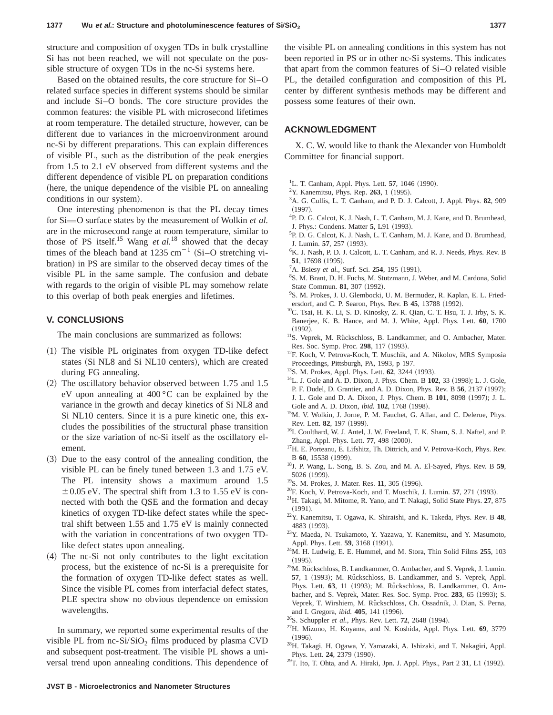structure and composition of oxygen TDs in bulk crystalline Si has not been reached, we will not speculate on the possible structure of oxygen TDs in the nc-Si systems here.

Based on the obtained results, the core structure for Si–O related surface species in different systems should be similar and include Si–O bonds. The core structure provides the common features: the visible PL with microsecond lifetimes at room temperature. The detailed structure, however, can be different due to variances in the microenvironment around nc-Si by different preparations. This can explain differences of visible PL, such as the distribution of the peak energies from 1.5 to 2.1 eV observed from different systems and the different dependence of visible PL on preparation conditions (here, the unique dependence of the visible PL on annealing conditions in our system).

One interesting phenomenon is that the PL decay times for Si=O surface states by the measurement of Wolkin *et al.* are in the microsecond range at room temperature, similar to those of PS itself.15 Wang *et al.*<sup>18</sup> showed that the decay times of the bleach band at 1235 cm<sup>-1</sup> (Si-O stretching vibration) in PS are similar to the observed decay times of the visible PL in the same sample. The confusion and debate with regards to the origin of visible PL may somehow relate to this overlap of both peak energies and lifetimes.

# **V. CONCLUSIONS**

The main conclusions are summarized as follows:

- $(1)$  The visible PL originates from oxygen TD-like defect states (Si NL8 and Si NL10 centers), which are created during FG annealing.
- $(2)$  The oscillatory behavior observed between 1.75 and 1.5 eV upon annealing at 400 °C can be explained by the variance in the growth and decay kinetics of Si NL8 and Si NL10 centers. Since it is a pure kinetic one, this excludes the possibilities of the structural phase transition or the size variation of nc-Si itself as the oscillatory element.
- ~3! Due to the easy control of the annealing condition, the visible PL can be finely tuned between 1.3 and 1.75 eV. The PL intensity shows a maximum around 1.5  $\pm$  0.05 eV. The spectral shift from 1.3 to 1.55 eV is connected with both the QSE and the formation and decay kinetics of oxygen TD-like defect states while the spectral shift between 1.55 and 1.75 eV is mainly connected with the variation in concentrations of two oxygen TDlike defect states upon annealing.
- $(4)$  The nc-Si not only contributes to the light excitation process, but the existence of nc-Si is a prerequisite for the formation of oxygen TD-like defect states as well. Since the visible PL comes from interfacial defect states, PLE spectra show no obvious dependence on emission wavelengths.

In summary, we reported some experimental results of the visible PL from  $nc-Si/SiO<sub>2</sub>$  films produced by plasma CVD and subsequent post-treatment. The visible PL shows a universal trend upon annealing conditions. This dependence of the visible PL on annealing conditions in this system has not been reported in PS or in other nc-Si systems. This indicates that apart from the common features of Si–O related visible PL, the detailed configuration and composition of this PL center by different synthesis methods may be different and possess some features of their own.

# **ACKNOWLEDGMENT**

X. C. W. would like to thank the Alexander von Humboldt Committee for financial support.

- <sup>1</sup>L. T. Canham, Appl. Phys. Lett. **57**, 1046 (1990).
- <sup>2</sup>Y. Kanemitsu, Phys. Rep. **263**, 1 (1995).
- 3 A. G. Cullis, L. T. Canham, and P. D. J. Calcott, J. Appl. Phys. **82**, 909  $(1997)$
- 4 P. D. G. Calcot, K. J. Nash, L. T. Canham, M. J. Kane, and D. Brumhead, J. Phys.: Condens. Matter 5, L91 (1993).
- 5 P. D. G. Calcot, K. J. Nash, L. T. Canham, M. J. Kane, and D. Brumhead, J. Lumin. **57**, 257 (1993).
- 6 K. J. Nash, P. D. J. Calcott, L. T. Canham, and R. J. Needs, Phys. Rev. B **51**, 17698 (1995).
- <sup>7</sup>A. Bsiesy *et al.*, Surf. Sci. **254**, 195 (1991).
- 8 S. M. Brant, D. H. Fuchs, M. Stutzmann, J. Weber, and M. Cardona, Solid State Commun. **81**, 307 (1992).
- 9 S. M. Prokes, J. U. Glembocki, U. M. Bermudez, R. Kaplan, E. L. Friedersdorf, and C. P. Searon, Phys. Rev. B 45, 13788 (1992).
- 10C. Tsai, H. K. Li, S. D. Kinosky, Z. R. Qian, C. T. Hsu, T. J. Irby, S. K. Banerjee, K. B. Hance, and M. J. White, Appl. Phys. Lett. **60**, 1700  $(1992).$
- <sup>11</sup>S. Veprek, M. Rückschloss, B. Landkammer, and O. Ambacher, Mater. Res. Soc. Symp. Proc. 298, 117 (1993).
- <sup>12</sup>F. Koch, V. Petrova-Koch, T. Muschik, and A. Nikolov, MRS Symposia Proceedings, Pittsburgh, PA, 1993, p 197.
- <sup>13</sup>S. M. Prokes, Appl. Phys. Lett. **62**, 3244 (1993).
- <sup>14</sup>L. J. Gole and A. D. Dixon, J. Phys. Chem. B **102**, 33 (1998); L. J. Gole,
- P. F. Dudel, D. Grantier, and A. D. Dixon, Phys. Rev. B **56**, 2137 (1997);
- J. L. Gole and D. A. Dixon, J. Phys. Chem. B 101, 8098 (1997); J. L.
- Gole and A. D. Dixon, *ibid.* **102**, 1768 (1998).
- <sup>15</sup>M. V. Wolkin, J. Jorne, P. M. Fauchet, G. Allan, and C. Delerue, Phys. Rev. Lett. 82, 197 (1999).
- <sup>16</sup>I. Coulthard, W. J. Antel, J. W. Freeland, T. K. Sham, S. J. Naftel, and P. Zhang, Appl. Phys. Lett. 77, 498 (2000).
- <sup>17</sup>H. E. Porteanu, E. Lifshitz, Th. Dittrich, and V. Petrova-Koch, Phys. Rev. B 60, 15538 (1999).
- 18J. P. Wang, L. Song, B. S. Zou, and M. A. El-Sayed, Phys. Rev. B **59**, 5026 (1999).
- <sup>19</sup>S. M. Prokes, J. Mater. Res. **11**, 305 (1996).
- <sup>20</sup>F. Koch, V. Petrova-Koch, and T. Muschik, J. Lumin. **57**, 271 (1993).
- 21H. Takagi, M. Mitome, R. Yano, and T. Nakagi, Solid State Phys. **27**, 875  $(1991).$
- 22Y. Kanemitsu, T. Ogawa, K. Shiraishi, and K. Takeda, Phys. Rev. B **48**, 4883 (1993).
- 23Y. Maeda, N. Tsukamoto, Y. Yazawa, Y. Kanemitsu, and Y. Masumoto, Appl. Phys. Lett. **59**, 3168 (1991).
- 24M. H. Ludwig, E. E. Hummel, and M. Stora, Thin Solid Films **255**, 103  $(1995)$ .
- <sup>25</sup>M. Rückschloss, B. Landkammer, O. Ambacher, and S. Veprek, J. Lumin. **57**, 1 (1993); M. Rückschloss, B. Landkammer, and S. Veprek, Appl. Phys. Lett. 63, 11 (1993); M. Rückschloss, B. Landkammer, O. Ambacher, and S. Veprek, Mater. Res. Soc. Symp. Proc. 283, 65 (1993); S. Veprek, T. Wirshiem, M. Rückschloss, Ch. Ossadnik, J. Dian, S. Perna, and I. Gregora, *ibid.* **405**, 141 (1996).
- <sup>26</sup>S. Schuppler *et al.*, Phys. Rev. Lett. **72**, 2648 (1994).
- 27H. Mizuno, H. Koyama, and N. Koshida, Appl. Phys. Lett. **69**, 3779  $(1996).$
- 28H. Takagi, H. Ogawa, Y. Yamazaki, A. Ishizaki, and T. Nakagiri, Appl. Phys. Lett. 24, 2379 (1990).
- <sup>29</sup>T. Ito, T. Ohta, and A. Hiraki, Jpn. J. Appl. Phys., Part 2 **31**, L1 (1992).